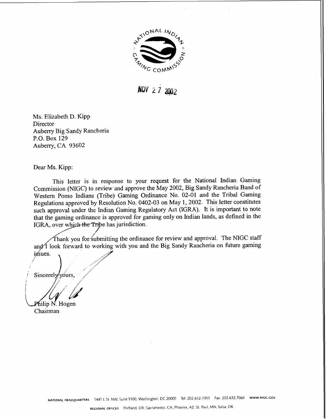

NOV 2 7 2002

Ms. Elizabeth D. Kipp Director Aubeny Big Sandy Rancheria P.O. Box 129 Auberry, CA 93602

Dear Ms. Kipp:

This letter is in response to your request for the National Indian Gaming Commission (NIGC) to review and approve the May 2002, Big Sandy Rancheria Band of Western Pomo Indians (Tribe) Gaming Ordinance No. 02-01 and the Tribal Gaming Regulations approved by Resolution No. 0402-03 on May 1,2002. This letter constitutes such approval under the Indian Gaming Regulatory Act (IGRA). It is important to note that the gaming ordinance is approved for gaming only on Indian lands, as defined in the IGRA, over which the Tribe has jurisdiction.

Thank you for submitting the ordinance for review and approval. The NIGC staff Thank you for submitting the ordinance for review and approval. The NIGC staff and I look forward to working with you and the Big Sandy Rancheria on future gaming issues.

 $\frac{1}{\sqrt{2}}$ 

Chairman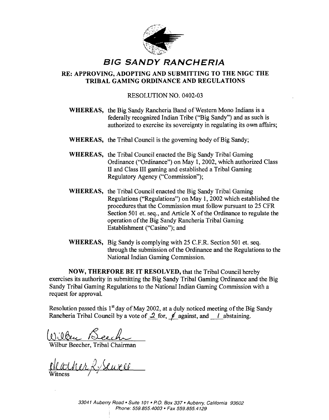

# **BIG SANDY RANCHERIA**

### **RE: APPROVING, ADOPTING AND SUBMITTING TO THE NIGC THE TRIBAL GAMING ORDINANCE AND REGULATIONS**

### RESOLUTION NO. 0402-03

- **WHEREAS,** the Big Sandy Rancheria Band of Western Mono Indians is a federally recognized Indian Tribe ("Big Sandy") and as such is authorized to exercise its sovereignty in regulating its own affairs;
- **WHEREAS,** the Tribal Council is the governing body of Big Sandy;
- **WHEREAS,** the Tribal Council enacted the Big Sandy Tribal Gaming Ordinance ("Ordinance") on May 1,2002, which authorized Class 11 and Class **I11** gaming and established a Tribal Gaming Regulatory Agency ("Commission");
- **WHEREAS,** the Tribal Council enacted the Big Sandy Tribal Gaming Regulations ("Regulations") on May 1,2002 which established the procedures that the Commission must follow pursuant to 25 CFR Section 501 et. seq., and Article X of the Ordinance to regulate the operation of the Big Sandy Rancheria Tribal Gaming Establishment ("Casino"); and
- **WHEREAS,** Big Sandy is complying with 25 C.F.R. Section 501 et. seq. through the submission of the Ordinance and the Regulations to the National Indian Gaming Commission.

**NOW, THERFORE BE IT RESOLVED,** that the Tribal Council hereby exercises its authority in submitting the Big Sandy Tribal Gaming Ordinance and the Big Sandy Tribal Gaming Regulations to the National Indian Gaming Commission with a request for approval.

Resolution passed this  $1<sup>st</sup>$  day of May 2002, at a duly noticed meeting of the Big Sandy Rancheria Tribal Council by a vote of  $\hat{L}$  for,  $\hat{\beta}$  against, and I abstaining.

Wilbur Beecher, Tribal Chairman

ather Ly Seuve e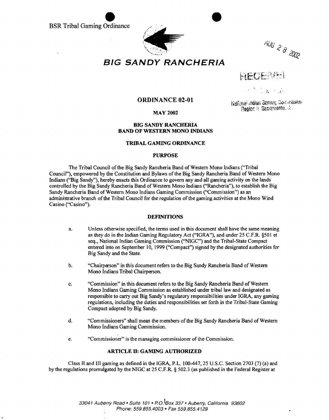**BSR** Tribal Gaming Ordinance



 $406^{\circ}$  2 8  $2002$ 

## **BIG SANDY RANCHERIA**

**HECENA** 

 $\mathcal{F}^{(n)} = \frac{1}{2} \sum_{i=1}^{n} \frac{1}{2} \sum_{j=1}^{n} \frac{1}{2} \sum_{j=1}^{n} \frac{1}{2} \sum_{j=1}^{n} \frac{1}{2} \sum_{j=1}^{n} \frac{1}{2} \sum_{j=1}^{n} \frac{1}{2} \sum_{j=1}^{n} \frac{1}{2} \sum_{j=1}^{n} \frac{1}{2} \sum_{j=1}^{n} \frac{1}{2} \sum_{j=1}^{n} \frac{1}{2} \sum_{j=1}^{n} \frac{1}{2} \sum_{j=1}^{n} \frac{1}{$ 

#### **ORDINANCE 02-01**

#### **MAY 2002**

### Raffonal Indian Gamme Collumssion Pedion 8 Sacramento, de-

#### **BIG SANDY RANCHERIA BAND OF WESTERN MONO INDIANS**

#### **TRIBAL GAMING ORDINANCE**

#### **PURPOSE**

The Tribal Council of the Big Sandy Rancheria Band of Western Mono Indians ("Tribal Council"), empowered by the Constitution and Bylaws of the Big Sandy Rancheria Band of Western Mono Indians ("Big Sandy"), hereby enacts this Ordinance to govern any and all gaming activity on the lands controlled by the Big Sandy Rancheria Band of Western Mono Indians ("Rancheria"), to establish the Big Sandy Rancheria Band of Western Mono Indians Gaming Commission ("Commission") as an administrative branch of the Tribal Council for the regulation of the gaming activities at the Mono Wind Casino ("Casino").

#### **DEFINITIONS**

- a. Unless otherwise specified, the terms used in this document shall have the same meaning as they do in the Indian Gaming Regulatory Act ("IGRA"), and under 25 C.F.R \$501 et seq., National Indian Gaming Commission ('WIGC") and the Tribal-State Compact entered into on September 10, 1999 ("Compact") signed by the designated authorities for Big Sandy and the State.
- b. "Chairperson" in this document refers to the Big Sandy Rancheria Band of Western Mono Indians Tribal Chairperson.
- c. "Commission" in this document refers to the Big Sandy Rancheria Band of Western Mono Indians Gaming Commission as established under tribal law and designated as responsible to carry out Big Sandy's regulatory responsibilities under IGRA, any gaming regulations, including the duties and responsibilities set forth in the Tribal-State Gaming Compact adopted by Big Sandy.
- d. "Commissioners" shall mean the members of the Big Sandy Rancheria Band of Western Mono Indians Gaming Commission.
- e. "Commissioner" is the managing commissioner of the Commission.

#### **ARTICLE II: GAMING AUTHORIZED**

Class 11 and I11 gaming as defined in the IGRA, P.L. 100-447,25 U.S.C. Section 2703 (7) (a) and by the regulations promulgated by the NIGC at 25 C.F.R *5* 502.3 (as published in the Federal Register at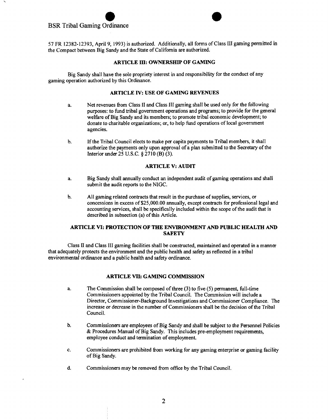### BSR Tribal Gaming **Ordinance**

57 FR 12382-12393, April 9, 1993) is authorized. Additionally, all forms of Class 111 gaming permitted in the Compact between Big Sandy and the State of California are authorized.

#### **ARTICLE III: OWNERSHIP OF GAMING**

Big Sandy shall have the sole propriety interest in and responsibility for the conduct of any gaming operation authorized by this Ordinance.

#### **ARTICLE N: USE OF GAMING REVENUES**

- a. Net revenues fiom Class I1 and Class 111 gaming shall be used only for the following purposes: to fimd tribal government operations and programs; to provide for the general welfare of Big Sandy and its members; to promote tribal economic development; to donate to charitable organizations; or, to help fund operations of local government agencies.
- b. If the Tribal Council elects to make per capita payments to Tribal members, it shall authorize the payments only upon approval of a plan submitted to the Secretary of the Interior under 25 U.S.C. § 2710 (B) (3).

#### **ARTICLE V: AUDIT**

- a. Big Sandy shall annually conduct an independent audit of gaming operations and shall submit the audit reports to the NIGC.
- b. All gaming related contracts that result in the purchase of supplies, services, or concessions in excess of \$25,000.00 annually, except contracts for professional legal and accounting services, shall be specifically included within the scope of the audit that is described in subsection (a) of this Article.

#### **ARTICLE VI: PROTECTION OF THE ENVIRONMENT AND PUBLIC HEALTH AND SAFETY**

Class **II** and Class I11 gaming facilities shall be constructed, maintained and operated in a manner that adequately protects the environment and the public health and safety as reflected in a tribal environmental ordinance and a public health and safety ordinance.

#### **ARTICLE W: GAMING COMMISSION**

- a. The Commission shall be composed of three (3) to five (5) permanent, full-time Commissioners appointed by the Tribal Council. The Commission will include a Director, Commissioner-Background Investigations and Commissioner Compliance. The increase or decrease in the number of Commissioners shall be the decision of the Tribal Council.
- b. Commissioners are employees of Big Sandy and shall be subject to the Personnel Policies & Procedures Manual of Big Sandy. This includes pre-employment requirements, employee conduct and termination of employment.
- c. Commissioners are prohibited fiom working for any gaming enterprise or gaming facility of Big Sandy.
- **d.** Commissioners may be removed fiom office by the Tribal Council.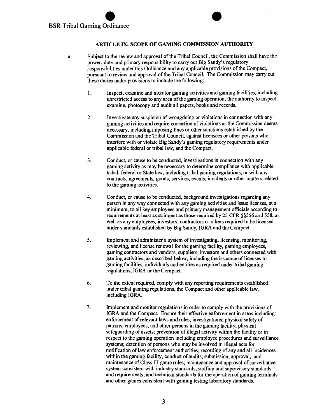#### **ARTICLE M: SCOPE OF GAMING COMMISSION AUTHOFUTY**

- a. Subject to the review and approval of the Tribal Council, the Commission shall have the power, duty and primary responsibility to carry out Big Sandy's regulatory responsibilities under this Ordinance and any applicable provisions of the Compact, pursuant to review and approval of the Tribal Council. The Commission may carry out these duties under provisions to include the following:
	- 1. Inspect, examine and monitor gaming activities and gaming facilities, including unrestricted access to any area of the gaming operation, the authority to inspect, examine, photocopy and audit all papers, books and records.
	- 2. Investigate any suspicion of wrongdoing or violations in connection with any gaming activities and require correction of violations as the Commission deems necessary, including imposing fines or other sanctions established by the Commission and the Tribal Council, against licensees or other persons who interfere with or violate Big Sandy's gaming regulatory requirements under applicable federal or tribal law, and the Compact.
	- **3.** Conduct, or cause to be conducted, investigations in connection with any gaming activity as may be necessary to determine compliance with applicable tribal, federal or State law, including tribal gaming regulations, or with any contracts, agreements, goods, services, events, incidents or other matters related to the gaming activities.
	- **4.** Conduct, or cause to be conducted, background investigations regarding any person in any way connected with any gaming activities and issue licenses, at a minimum, to all key employees and primary management officials according to requirements at least as stringent as those required by 25 CFR \$9556 and 558, as well as any employees, investors, contractors or others required to be licensed under standards established by Big Sandy, IGRA and the Compact.
	- **5.** Implement and administer a system of investigating, licensing, monitoring, reviewing, and license renewal for the gaming facility, gaming employees, gaming contractors and vendors, suppliers, investors and others connected with gaming activities, as described below, including the issuance of licenses to gaming facilities, individuals and entities as required under tribal gaming regulations, IGRA or the Compact.
	- *6.* To the extent required, comply with any reporting requirements established under tribal gaming regulations, the Compact and other applicable law, including IGRA.
	- 7. Implement and monitor regulations in order to comply with the provisions of IGRA and the Compact. Ensure their effective enforcement in areas including: enforcement of relevant laws and rules; investigations; physical safety of patrons, employees, and other persons in the gaming facility; physical safeguarding of assets; prevention of illegal activity within the facility or in respect to the gaming operation including employee procedures and surveillance systems; detention of persons who may be involved in illegal acts for notification of law enforcement authorities; recording of any and all incidences within the gaming facility; conduct of audits; submission, approval, and maintenance of Class 111 game rules; maintenance and approval of surveillance system consistent with industry standards; staffing and supervisory standards and requirements; and technical standards for the operation of gaming terminals and other games consistent with gaming testing laboratory standards.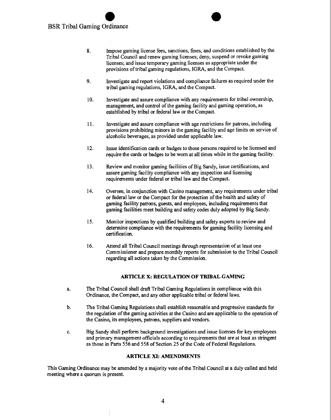### BSR Tribal Gaming Ordinance

- **8.** Impose gaming license fees, sanctions, fines, and conditions established by the Tribal Council and renew gaming licenses; deny, suspend or revoke gaming licenses; and issue temporary gaming licenses as appropriate under the provisions of tribal gaming regulations, IGRA, and the Compact.
- **9.** Investigate and report violations and compliance failures as required under the tribal gaming regulations, IGRA, and the Compact.
- **10.** Investigate and assure compliance with any requirements for tribal ownership, management, and control of the gaming facility and gaming operation, as established by tribal or federal law or the Compact.
- **11.** Investigate and assure compliance with age restrictions for patrons, including provisions prohibiting minors in the gaming facility and age limits on service of alcoholic beverages, as provided under applicable law.
- **12.** Issue identification cards or badges to those persons required to be licensed and require the cards or badges to be worn at all times while in the gaming facility.
- **13.** Review and monitor gaming facilities of Big Sandy, issue certifications, and assure gaming facility compliance with any inspection and licensing requirements under federal or tribal law and the Compact.
- **14.** Oversee, in conjunction with Casino management, any requirements under tribal or federal law or the Compact for the protection of the health and safety of gaming facility patrons, guests, and employees, including requirements that gaming facilities meet building and safety codes duly adopted by Big Sandy.
- **15.** Monitor inspections by qualified building and safety experts to review and determine compliance with the requirements for gaming facility licensing and certification.
- **16.** Attend all Tribal Council meetings through representation of at least one Commissioner and prepare monthly reports for submission to the Tribal Council regarding all actions taken by the Commission.

#### **ARTICLE X: REGULATION OF TRIBAL GAMING**

- a. The Tribal Council shall **draft** Tribal Gaming Regulations in compliance with this Ordinance, the Compact, and any other applicable tribal or federal laws.
- b. The Tribal Gaming Regulations shall establish reasonable and progressive standards for the regulation of the gaming activities at the Casino and are applicable to the operation of the Casino, its employees, patrons, suppliers and vendors.
- c. Big Sandy shall perform background investigations and issue licenses for key employees and primary management officials according to requirements that are at least as stringent as those in Parts **556** and **558** of Section **25** of the Code of Federal Regulations.

#### **ARTICLE XI: AMENDMENTS**

This Gaming Ordinance may be amended by a majority vote of the Tribal Council at a duly called and held meeting where a quorum is present.